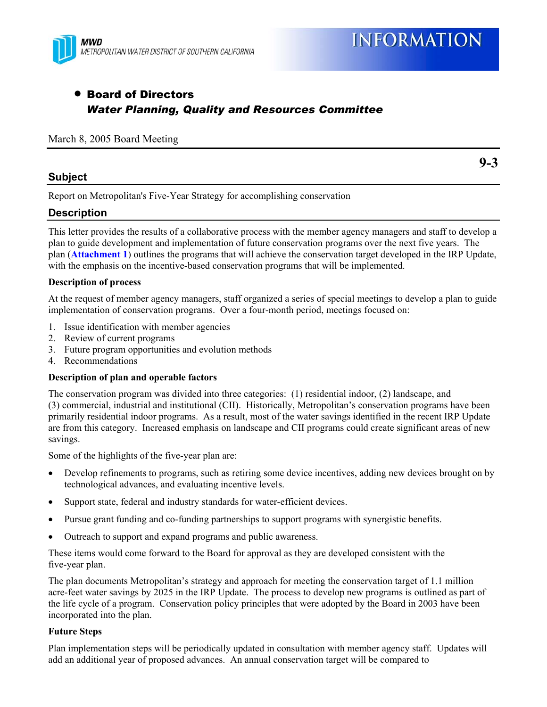

# • Board of Directors *Water Planning, Quality and Resources Committee*

#### March 8, 2005 Board Meeting

#### **Subject**

**9-3** 

Report on Metropolitan's Five-Year Strategy for accomplishing conservation

# **Description**

This letter provides the results of a collaborative process with the member agency managers and staff to develop a plan to guide development and implementation of future conservation programs over the next five years. The plan (**Attachment 1**) outlines the programs that will achieve the conservation target developed in the IRP Update, with the emphasis on the incentive-based conservation programs that will be implemented.

#### **Description of process**

At the request of member agency managers, staff organized a series of special meetings to develop a plan to guide implementation of conservation programs. Over a four-month period, meetings focused on:

- 1. Issue identification with member agencies
- 2. Review of current programs
- 3. Future program opportunities and evolution methods
- 4. Recommendations

#### **Description of plan and operable factors**

The conservation program was divided into three categories: (1) residential indoor, (2) landscape, and (3) commercial, industrial and institutional (CII). Historically, Metropolitan's conservation programs have been primarily residential indoor programs. As a result, most of the water savings identified in the recent IRP Update are from this category. Increased emphasis on landscape and CII programs could create significant areas of new savings.

Some of the highlights of the five-year plan are:

- Develop refinements to programs, such as retiring some device incentives, adding new devices brought on by technological advances, and evaluating incentive levels.
- Support state, federal and industry standards for water-efficient devices.
- Pursue grant funding and co-funding partnerships to support programs with synergistic benefits.
- Outreach to support and expand programs and public awareness.

These items would come forward to the Board for approval as they are developed consistent with the five-year plan.

The plan documents Metropolitan's strategy and approach for meeting the conservation target of 1.1 million acre-feet water savings by 2025 in the IRP Update. The process to develop new programs is outlined as part of the life cycle of a program. Conservation policy principles that were adopted by the Board in 2003 have been incorporated into the plan.

#### **Future Steps**

Plan implementation steps will be periodically updated in consultation with member agency staff. Updates will add an additional year of proposed advances. An annual conservation target will be compared to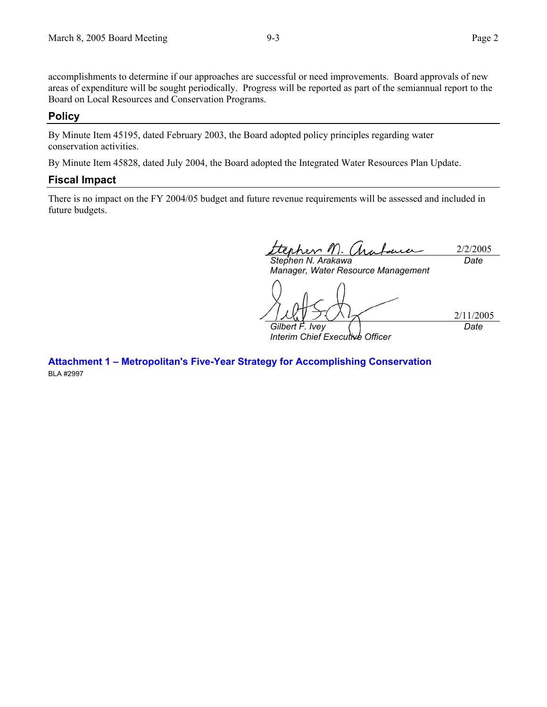accomplishments to determine if our approaches are successful or need improvements. Board approvals of new areas of expenditure will be sought periodically. Progress will be reported as part of the semiannual report to the Board on Local Resources and Conservation Programs.

#### **Policy**

By Minute Item 45195, dated February 2003, the Board adopted policy principles regarding water conservation activities.

By Minute Item 45828, dated July 2004, the Board adopted the Integrated Water Resources Plan Update.

#### **Fiscal Impact**

There is no impact on the FY 2004/05 budget and future revenue requirements will be assessed and included in future budgets.

2/2/2005 *Stephen N. Arakawa Date* 

*Manager, Water Resource Management*  2/11/2005 *Gilbert F. Ivey Interim Chief Executive Officer Date* 

**Attachment 1 – Metropolitan's Five-Year Strategy for Accomplishing Conservation**  BLA #2997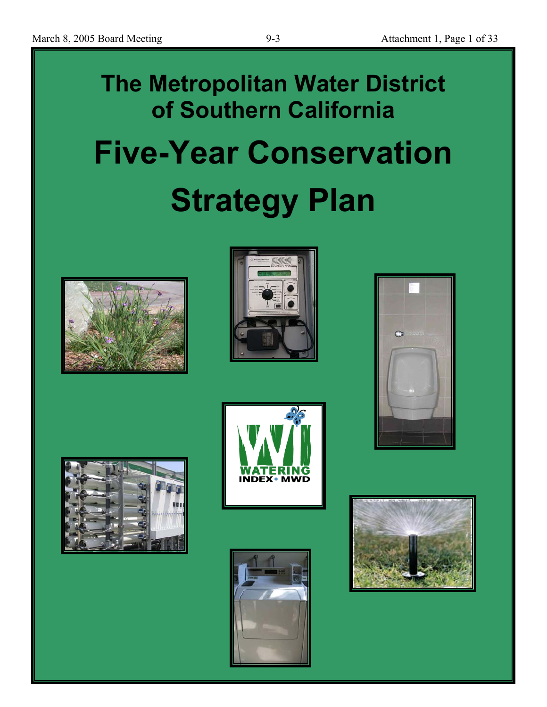# **The Metropolitan Water District of Southern California Five-Year Conservation Strategy Plan**













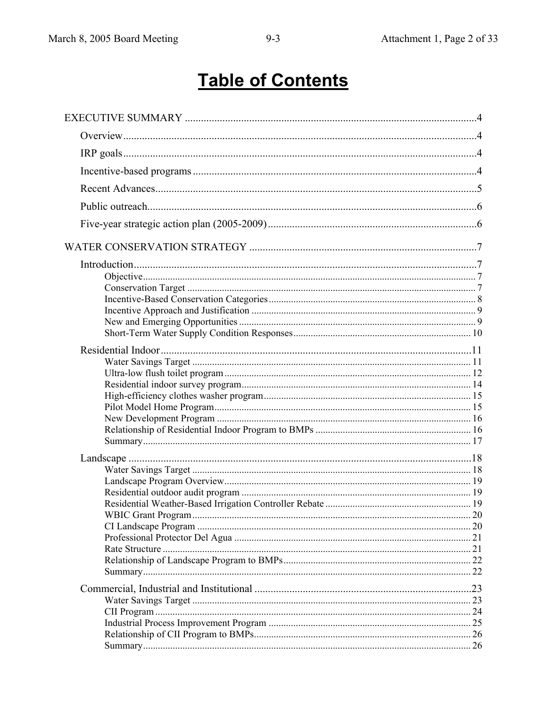# **Table of Contents**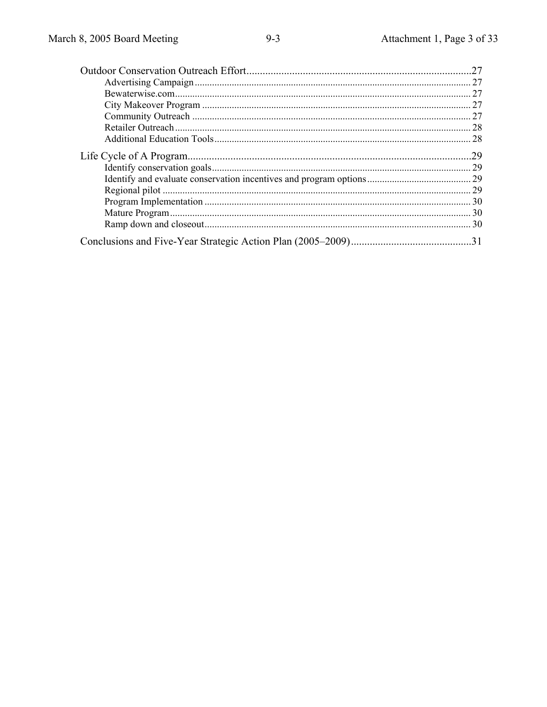| .27 |
|-----|
|     |
| 27  |
|     |
|     |
|     |
|     |
| .29 |
|     |
|     |
|     |
|     |
|     |
|     |
|     |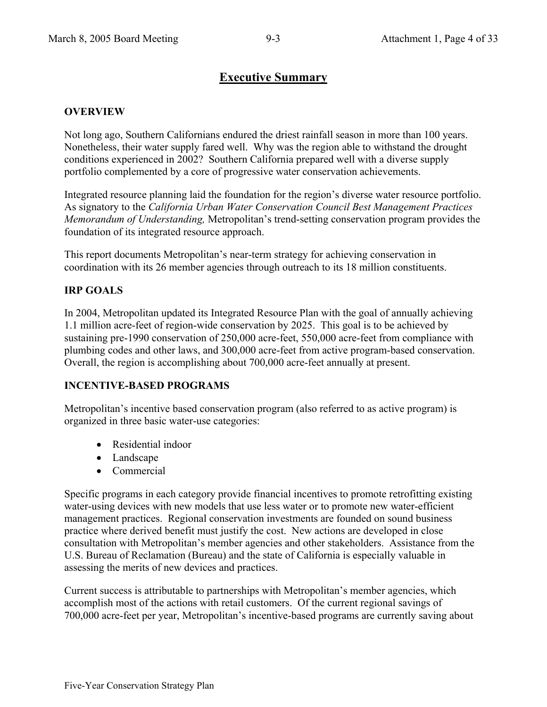# **Executive Summary**

#### **OVERVIEW**

Not long ago, Southern Californians endured the driest rainfall season in more than 100 years. Nonetheless, their water supply fared well. Why was the region able to withstand the drought conditions experienced in 2002? Southern California prepared well with a diverse supply portfolio complemented by a core of progressive water conservation achievements.

Integrated resource planning laid the foundation for the region's diverse water resource portfolio. As signatory to the *California Urban Water Conservation Council Best Management Practices Memorandum of Understanding,* Metropolitan's trend-setting conservation program provides the foundation of its integrated resource approach.

This report documents Metropolitan's near-term strategy for achieving conservation in coordination with its 26 member agencies through outreach to its 18 million constituents.

# **IRP GOALS**

In 2004, Metropolitan updated its Integrated Resource Plan with the goal of annually achieving 1.1 million acre-feet of region-wide conservation by 2025. This goal is to be achieved by sustaining pre-1990 conservation of 250,000 acre-feet, 550,000 acre-feet from compliance with plumbing codes and other laws, and 300,000 acre-feet from active program-based conservation. Overall, the region is accomplishing about 700,000 acre-feet annually at present.

#### **INCENTIVE-BASED PROGRAMS**

Metropolitan's incentive based conservation program (also referred to as active program) is organized in three basic water-use categories:

- Residential indoor
- Landscape
- Commercial

Specific programs in each category provide financial incentives to promote retrofitting existing water-using devices with new models that use less water or to promote new water-efficient management practices. Regional conservation investments are founded on sound business practice where derived benefit must justify the cost. New actions are developed in close consultation with Metropolitan's member agencies and other stakeholders. Assistance from the U.S. Bureau of Reclamation (Bureau) and the state of California is especially valuable in assessing the merits of new devices and practices.

Current success is attributable to partnerships with Metropolitan's member agencies, which accomplish most of the actions with retail customers. Of the current regional savings of 700,000 acre-feet per year, Metropolitan's incentive-based programs are currently saving about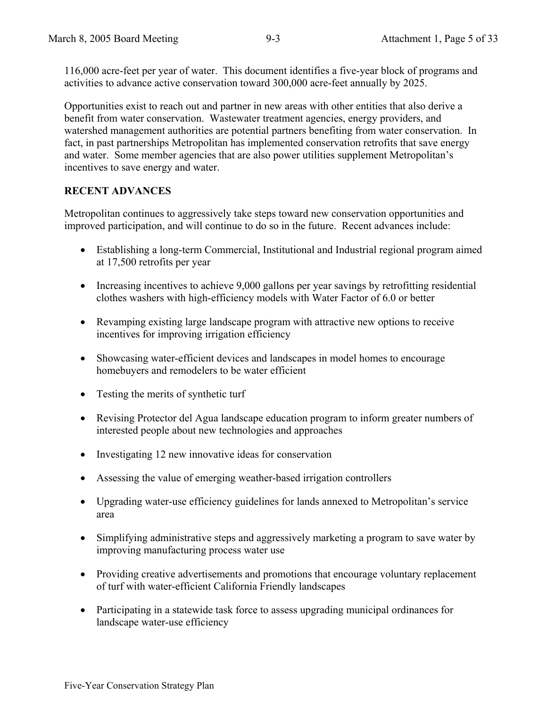116,000 acre-feet per year of water. This document identifies a five-year block of programs and activities to advance active conservation toward 300,000 acre-feet annually by 2025.

Opportunities exist to reach out and partner in new areas with other entities that also derive a benefit from water conservation. Wastewater treatment agencies, energy providers, and watershed management authorities are potential partners benefiting from water conservation. In fact, in past partnerships Metropolitan has implemented conservation retrofits that save energy and water. Some member agencies that are also power utilities supplement Metropolitan's incentives to save energy and water.

# **RECENT ADVANCES**

Metropolitan continues to aggressively take steps toward new conservation opportunities and improved participation, and will continue to do so in the future. Recent advances include:

- Establishing a long-term Commercial, Institutional and Industrial regional program aimed at 17,500 retrofits per year
- Increasing incentives to achieve 9,000 gallons per year savings by retrofitting residential clothes washers with high-efficiency models with Water Factor of 6.0 or better
- Revamping existing large landscape program with attractive new options to receive incentives for improving irrigation efficiency
- Showcasing water-efficient devices and landscapes in model homes to encourage homebuyers and remodelers to be water efficient
- Testing the merits of synthetic turf
- Revising Protector del Agua landscape education program to inform greater numbers of interested people about new technologies and approaches
- Investigating 12 new innovative ideas for conservation
- Assessing the value of emerging weather-based irrigation controllers
- Upgrading water-use efficiency guidelines for lands annexed to Metropolitan's service area
- Simplifying administrative steps and aggressively marketing a program to save water by improving manufacturing process water use
- Providing creative advertisements and promotions that encourage voluntary replacement of turf with water-efficient California Friendly landscapes
- Participating in a statewide task force to assess upgrading municipal ordinances for landscape water-use efficiency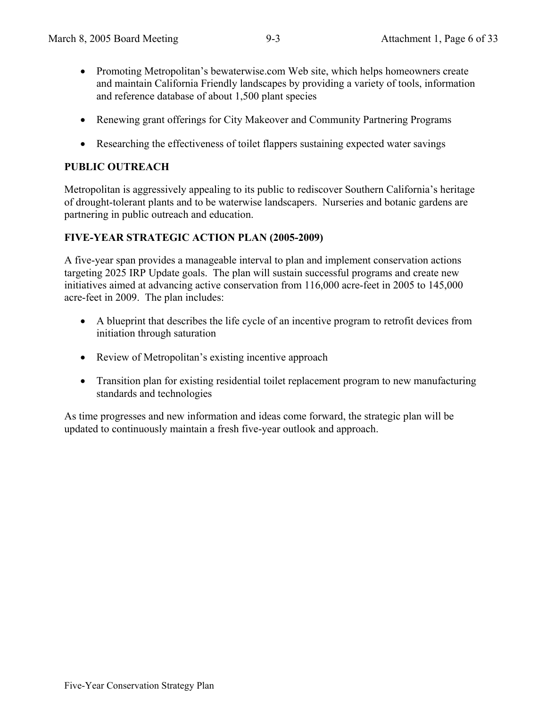- Promoting Metropolitan's bewaterwise.com Web site, which helps homeowners create and maintain California Friendly landscapes by providing a variety of tools, information and reference database of about 1,500 plant species
- Renewing grant offerings for City Makeover and Community Partnering Programs
- Researching the effectiveness of toilet flappers sustaining expected water savings

# **PUBLIC OUTREACH**

Metropolitan is aggressively appealing to its public to rediscover Southern California's heritage of drought-tolerant plants and to be waterwise landscapers. Nurseries and botanic gardens are partnering in public outreach and education.

#### **FIVE-YEAR STRATEGIC ACTION PLAN (2005-2009)**

A five-year span provides a manageable interval to plan and implement conservation actions targeting 2025 IRP Update goals. The plan will sustain successful programs and create new initiatives aimed at advancing active conservation from 116,000 acre-feet in 2005 to 145,000 acre-feet in 2009. The plan includes:

- A blueprint that describes the life cycle of an incentive program to retrofit devices from initiation through saturation
- Review of Metropolitan's existing incentive approach
- Transition plan for existing residential toilet replacement program to new manufacturing standards and technologies

As time progresses and new information and ideas come forward, the strategic plan will be updated to continuously maintain a fresh five-year outlook and approach.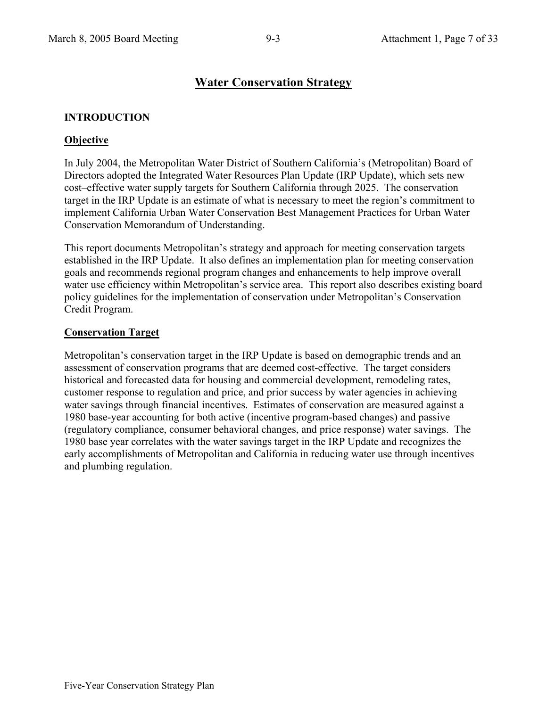# **Water Conservation Strategy**

# **INTRODUCTION**

# **Objective**

In July 2004, the Metropolitan Water District of Southern California's (Metropolitan) Board of Directors adopted the Integrated Water Resources Plan Update (IRP Update), which sets new cost–effective water supply targets for Southern California through 2025. The conservation target in the IRP Update is an estimate of what is necessary to meet the region's commitment to implement California Urban Water Conservation Best Management Practices for Urban Water Conservation Memorandum of Understanding.

This report documents Metropolitan's strategy and approach for meeting conservation targets established in the IRP Update. It also defines an implementation plan for meeting conservation goals and recommends regional program changes and enhancements to help improve overall water use efficiency within Metropolitan's service area. This report also describes existing board policy guidelines for the implementation of conservation under Metropolitan's Conservation Credit Program.

# **Conservation Target**

Metropolitan's conservation target in the IRP Update is based on demographic trends and an assessment of conservation programs that are deemed cost-effective. The target considers historical and forecasted data for housing and commercial development, remodeling rates, customer response to regulation and price, and prior success by water agencies in achieving water savings through financial incentives. Estimates of conservation are measured against a 1980 base-year accounting for both active (incentive program-based changes) and passive (regulatory compliance, consumer behavioral changes, and price response) water savings. The 1980 base year correlates with the water savings target in the IRP Update and recognizes the early accomplishments of Metropolitan and California in reducing water use through incentives and plumbing regulation.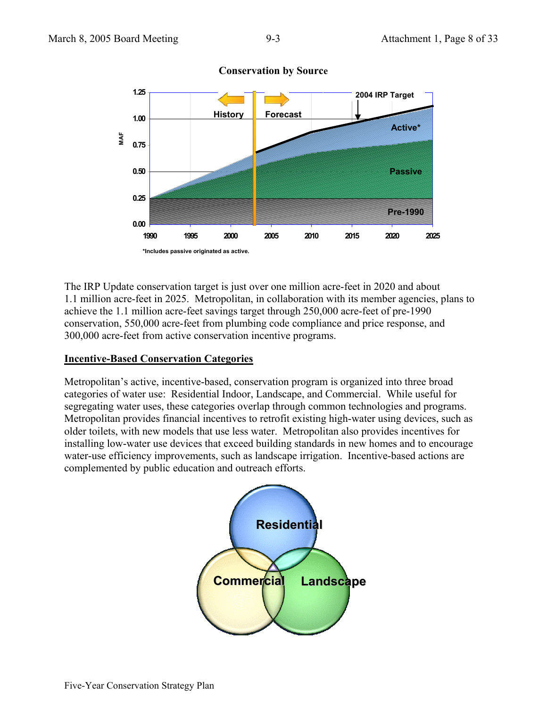

**Conservation by Source**

The IRP Update conservation target is just over one million acre-feet in 2020 and about 1.1 million acre-feet in 2025. Metropolitan, in collaboration with its member agencies, plans to achieve the 1.1 million acre-feet savings target through 250,000 acre-feet of pre-1990 conservation, 550,000 acre-feet from plumbing code compliance and price response, and 300,000 acre-feet from active conservation incentive programs.

# **Incentive-Based Conservation Categories**

Metropolitan's active, incentive-based, conservation program is organized into three broad categories of water use: Residential Indoor, Landscape, and Commercial. While useful for segregating water uses, these categories overlap through common technologies and programs. Metropolitan provides financial incentives to retrofit existing high-water using devices, such as older toilets, with new models that use less water. Metropolitan also provides incentives for installing low-water use devices that exceed building standards in new homes and to encourage water-use efficiency improvements, such as landscape irrigation. Incentive-based actions are complemented by public education and outreach efforts.

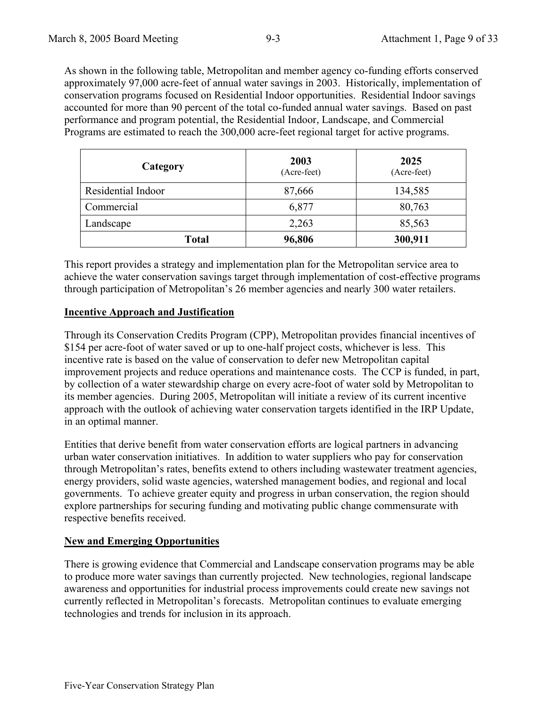As shown in the following table, Metropolitan and member agency co-funding efforts conserved approximately 97,000 acre-feet of annual water savings in 2003. Historically, implementation of conservation programs focused on Residential Indoor opportunities. Residential Indoor savings accounted for more than 90 percent of the total co-funded annual water savings. Based on past performance and program potential, the Residential Indoor, Landscape, and Commercial Programs are estimated to reach the 300,000 acre-feet regional target for active programs.

| Category           | 2003<br>(Acre-feet) | 2025<br>(Acre-feet) |
|--------------------|---------------------|---------------------|
| Residential Indoor | 87,666              | 134,585             |
| Commercial         | 6,877               | 80,763              |
| Landscape          | 2,263               | 85,563              |
| <b>Total</b>       | 96,806              | 300,911             |

This report provides a strategy and implementation plan for the Metropolitan service area to achieve the water conservation savings target through implementation of cost-effective programs through participation of Metropolitan's 26 member agencies and nearly 300 water retailers.

#### **Incentive Approach and Justification**

Through its Conservation Credits Program (CPP), Metropolitan provides financial incentives of \$154 per acre-foot of water saved or up to one-half project costs, whichever is less. This incentive rate is based on the value of conservation to defer new Metropolitan capital improvement projects and reduce operations and maintenance costs. The CCP is funded, in part, by collection of a water stewardship charge on every acre-foot of water sold by Metropolitan to its member agencies. During 2005, Metropolitan will initiate a review of its current incentive approach with the outlook of achieving water conservation targets identified in the IRP Update, in an optimal manner.

Entities that derive benefit from water conservation efforts are logical partners in advancing urban water conservation initiatives. In addition to water suppliers who pay for conservation through Metropolitan's rates, benefits extend to others including wastewater treatment agencies, energy providers, solid waste agencies, watershed management bodies, and regional and local governments. To achieve greater equity and progress in urban conservation, the region should explore partnerships for securing funding and motivating public change commensurate with respective benefits received.

# **New and Emerging Opportunities**

There is growing evidence that Commercial and Landscape conservation programs may be able to produce more water savings than currently projected. New technologies, regional landscape awareness and opportunities for industrial process improvements could create new savings not currently reflected in Metropolitan's forecasts. Metropolitan continues to evaluate emerging technologies and trends for inclusion in its approach.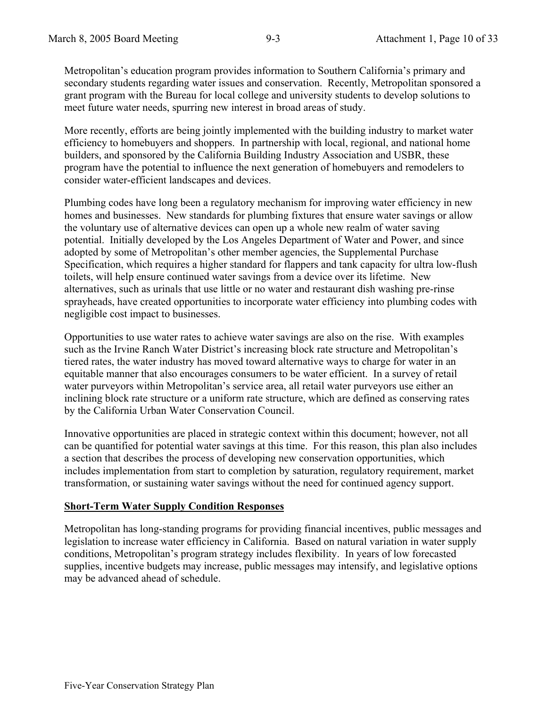Metropolitan's education program provides information to Southern California's primary and secondary students regarding water issues and conservation. Recently, Metropolitan sponsored a grant program with the Bureau for local college and university students to develop solutions to meet future water needs, spurring new interest in broad areas of study.

More recently, efforts are being jointly implemented with the building industry to market water efficiency to homebuyers and shoppers. In partnership with local, regional, and national home builders, and sponsored by the California Building Industry Association and USBR, these program have the potential to influence the next generation of homebuyers and remodelers to consider water-efficient landscapes and devices.

Plumbing codes have long been a regulatory mechanism for improving water efficiency in new homes and businesses. New standards for plumbing fixtures that ensure water savings or allow the voluntary use of alternative devices can open up a whole new realm of water saving potential. Initially developed by the Los Angeles Department of Water and Power, and since adopted by some of Metropolitan's other member agencies, the Supplemental Purchase Specification, which requires a higher standard for flappers and tank capacity for ultra low-flush toilets, will help ensure continued water savings from a device over its lifetime. New alternatives, such as urinals that use little or no water and restaurant dish washing pre-rinse sprayheads, have created opportunities to incorporate water efficiency into plumbing codes with negligible cost impact to businesses.

Opportunities to use water rates to achieve water savings are also on the rise. With examples such as the Irvine Ranch Water District's increasing block rate structure and Metropolitan's tiered rates, the water industry has moved toward alternative ways to charge for water in an equitable manner that also encourages consumers to be water efficient. In a survey of retail water purveyors within Metropolitan's service area, all retail water purveyors use either an inclining block rate structure or a uniform rate structure, which are defined as conserving rates by the California Urban Water Conservation Council.

Innovative opportunities are placed in strategic context within this document; however, not all can be quantified for potential water savings at this time. For this reason, this plan also includes a section that describes the process of developing new conservation opportunities, which includes implementation from start to completion by saturation, regulatory requirement, market transformation, or sustaining water savings without the need for continued agency support.

# **Short-Term Water Supply Condition Responses**

Metropolitan has long-standing programs for providing financial incentives, public messages and legislation to increase water efficiency in California. Based on natural variation in water supply conditions, Metropolitan's program strategy includes flexibility. In years of low forecasted supplies, incentive budgets may increase, public messages may intensify, and legislative options may be advanced ahead of schedule.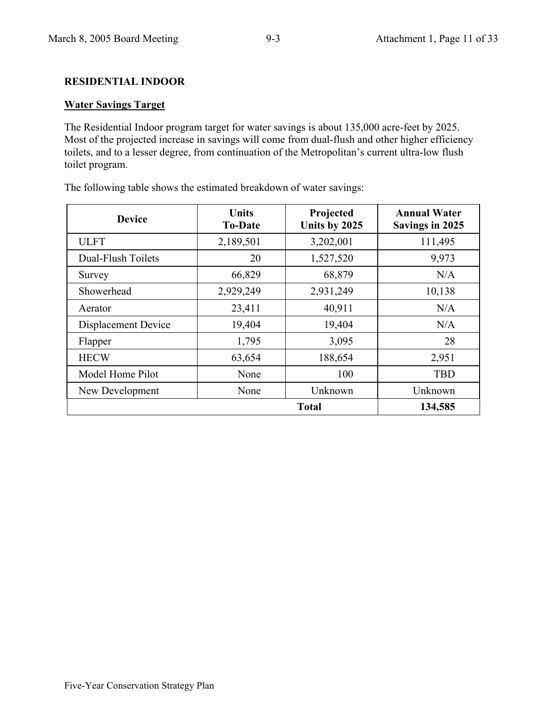# **RESIDENTIAL INDOOR**

# **Water Savings Target**

The Residential Indoor program target for water savings is about 135,000 acre-feet by 2025. Most of the projected increase in savings will come from dual-flush and other higher efficiency toilets, and to a lesser degree, from continuation of the Metropolitan's current ultra-low flush toilet program.

| <b>Device</b>       | <b>Units</b><br><b>To-Date</b> | Projected<br>Units by 2025 | <b>Annual Water</b><br><b>Savings in 2025</b> |
|---------------------|--------------------------------|----------------------------|-----------------------------------------------|
| <b>ULFT</b>         | 2,189,501                      | 3,202,001                  | 111,495                                       |
| Dual-Flush Toilets  | 20                             | 1,527,520                  | 9,973                                         |
| Survey              | 66,829                         | 68,879                     | N/A                                           |
| Showerhead          | 2,929,249                      | 2,931,249                  | 10,138                                        |
| Aerator             | 23,411                         | 40,911                     | N/A                                           |
| Displacement Device | 19,404                         | 19,404                     | N/A                                           |
| Flapper             | 1,795                          | 3,095                      | 28                                            |
| <b>HECW</b>         | 63,654                         | 188,654                    | 2,951                                         |
| Model Home Pilot    | None                           | 100                        | <b>TBD</b>                                    |
| New Development     | None                           | Unknown                    | Unknown                                       |
|                     |                                | <b>Total</b>               | 134,585                                       |

The following table shows the estimated breakdown of water savings: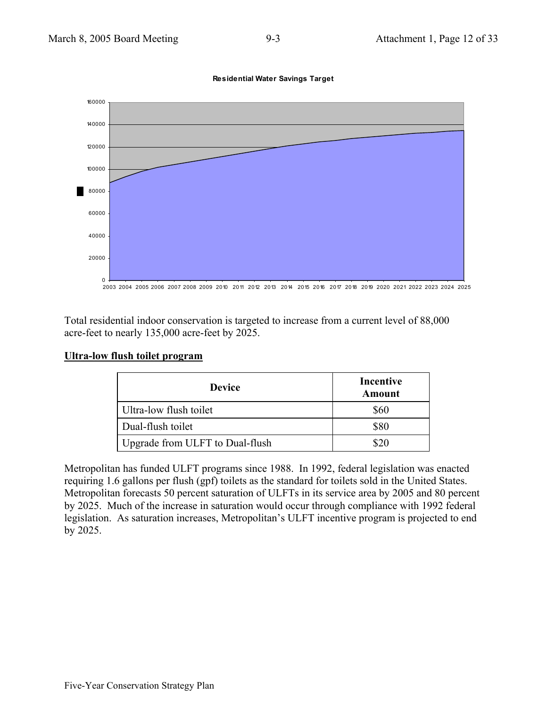

Total residential indoor conservation is targeted to increase from a current level of 88,000 acre-feet to nearly 135,000 acre-feet by 2025.

| Ultra-low flush toilet program |  |  |
|--------------------------------|--|--|
|                                |  |  |

| <b>Device</b>                   | Incentive<br>Amount |
|---------------------------------|---------------------|
| Ultra-low flush toilet          | \$60                |
| Dual-flush toilet               | \$80                |
| Upgrade from ULFT to Dual-flush | 820                 |

Metropolitan has funded ULFT programs since 1988. In 1992, federal legislation was enacted requiring 1.6 gallons per flush (gpf) toilets as the standard for toilets sold in the United States. Metropolitan forecasts 50 percent saturation of ULFTs in its service area by 2005 and 80 percent by 2025. Much of the increase in saturation would occur through compliance with 1992 federal legislation. As saturation increases, Metropolitan's ULFT incentive program is projected to end by 2025.

**Residential Water Savings Target**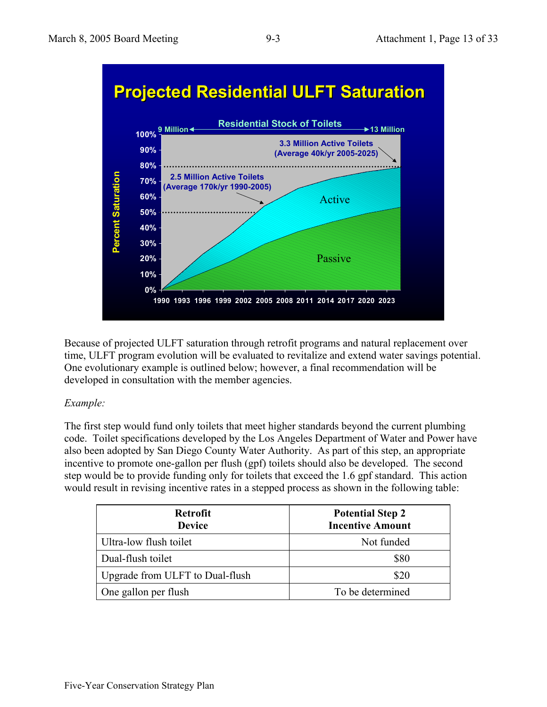



Because of projected ULFT saturation through retrofit programs and natural replacement over time, ULFT program evolution will be evaluated to revitalize and extend water savings potential. One evolutionary example is outlined below; however, a final recommendation will be developed in consultation with the member agencies.

# *Example:*

The first step would fund only toilets that meet higher standards beyond the current plumbing code. Toilet specifications developed by the Los Angeles Department of Water and Power have also been adopted by San Diego County Water Authority. As part of this step, an appropriate incentive to promote one-gallon per flush (gpf) toilets should also be developed. The second step would be to provide funding only for toilets that exceed the 1.6 gpf standard. This action would result in revising incentive rates in a stepped process as shown in the following table:

| <b>Retrofit</b><br><b>Device</b> | <b>Potential Step 2</b><br><b>Incentive Amount</b> |
|----------------------------------|----------------------------------------------------|
| Ultra-low flush toilet           | Not funded                                         |
| Dual-flush toilet                | \$80                                               |
| Upgrade from ULFT to Dual-flush  | \$20                                               |
| One gallon per flush             | To be determined                                   |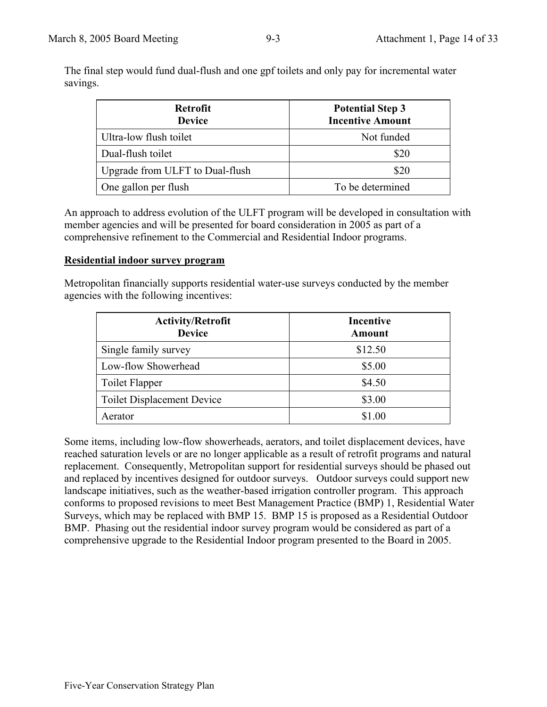The final step would fund dual-flush and one gpf toilets and only pay for incremental water savings.

| <b>Retrofit</b><br><b>Device</b> | <b>Potential Step 3</b><br><b>Incentive Amount</b> |
|----------------------------------|----------------------------------------------------|
| Ultra-low flush toilet           | Not funded                                         |
| Dual-flush toilet                | \$20                                               |
| Upgrade from ULFT to Dual-flush  | \$20                                               |
| One gallon per flush             | To be determined                                   |

An approach to address evolution of the ULFT program will be developed in consultation with member agencies and will be presented for board consideration in 2005 as part of a comprehensive refinement to the Commercial and Residential Indoor programs.

#### **Residential indoor survey program**

Metropolitan financially supports residential water-use surveys conducted by the member agencies with the following incentives:

| <b>Activity/Retrofit</b><br><b>Device</b> | <b>Incentive</b><br><b>Amount</b> |
|-------------------------------------------|-----------------------------------|
| Single family survey                      | \$12.50                           |
| Low-flow Showerhead                       | \$5.00                            |
| Toilet Flapper                            | \$4.50                            |
| <b>Toilet Displacement Device</b>         | \$3.00                            |
| Aerator                                   |                                   |

Some items, including low-flow showerheads, aerators, and toilet displacement devices, have reached saturation levels or are no longer applicable as a result of retrofit programs and natural replacement. Consequently, Metropolitan support for residential surveys should be phased out and replaced by incentives designed for outdoor surveys. Outdoor surveys could support new landscape initiatives, such as the weather-based irrigation controller program. This approach conforms to proposed revisions to meet Best Management Practice (BMP) 1, Residential Water Surveys, which may be replaced with BMP 15. BMP 15 is proposed as a Residential Outdoor BMP. Phasing out the residential indoor survey program would be considered as part of a comprehensive upgrade to the Residential Indoor program presented to the Board in 2005.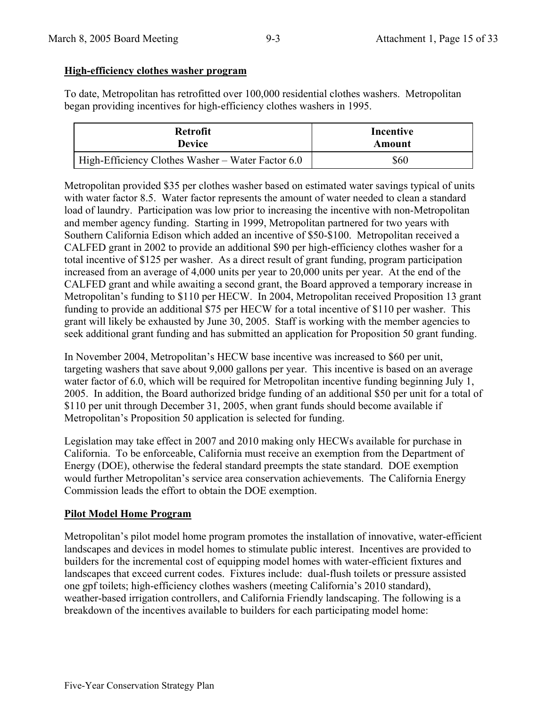# **High-efficiency clothes washer program**

To date, Metropolitan has retrofitted over 100,000 residential clothes washers. Metropolitan began providing incentives for high-efficiency clothes washers in 1995.

| <b>Retrofit</b>                                   | Incentive |
|---------------------------------------------------|-----------|
| <b>Device</b>                                     | Amount    |
| High-Efficiency Clothes Washer – Water Factor 6.0 | \$60      |

Metropolitan provided \$35 per clothes washer based on estimated water savings typical of units with water factor 8.5. Water factor represents the amount of water needed to clean a standard load of laundry. Participation was low prior to increasing the incentive with non-Metropolitan and member agency funding. Starting in 1999, Metropolitan partnered for two years with Southern California Edison which added an incentive of \$50-\$100. Metropolitan received a CALFED grant in 2002 to provide an additional \$90 per high-efficiency clothes washer for a total incentive of \$125 per washer. As a direct result of grant funding, program participation increased from an average of 4,000 units per year to 20,000 units per year. At the end of the CALFED grant and while awaiting a second grant, the Board approved a temporary increase in Metropolitan's funding to \$110 per HECW. In 2004, Metropolitan received Proposition 13 grant funding to provide an additional \$75 per HECW for a total incentive of \$110 per washer. This grant will likely be exhausted by June 30, 2005. Staff is working with the member agencies to seek additional grant funding and has submitted an application for Proposition 50 grant funding.

In November 2004, Metropolitan's HECW base incentive was increased to \$60 per unit, targeting washers that save about 9,000 gallons per year. This incentive is based on an average water factor of 6.0, which will be required for Metropolitan incentive funding beginning July 1, 2005. In addition, the Board authorized bridge funding of an additional \$50 per unit for a total of \$110 per unit through December 31, 2005, when grant funds should become available if Metropolitan's Proposition 50 application is selected for funding.

Legislation may take effect in 2007 and 2010 making only HECWs available for purchase in California. To be enforceable, California must receive an exemption from the Department of Energy (DOE), otherwise the federal standard preempts the state standard. DOE exemption would further Metropolitan's service area conservation achievements. The California Energy Commission leads the effort to obtain the DOE exemption.

# **Pilot Model Home Program**

Metropolitan's pilot model home program promotes the installation of innovative, water-efficient landscapes and devices in model homes to stimulate public interest. Incentives are provided to builders for the incremental cost of equipping model homes with water-efficient fixtures and landscapes that exceed current codes. Fixtures include: dual-flush toilets or pressure assisted one gpf toilets; high-efficiency clothes washers (meeting California's 2010 standard), weather-based irrigation controllers, and California Friendly landscaping. The following is a breakdown of the incentives available to builders for each participating model home: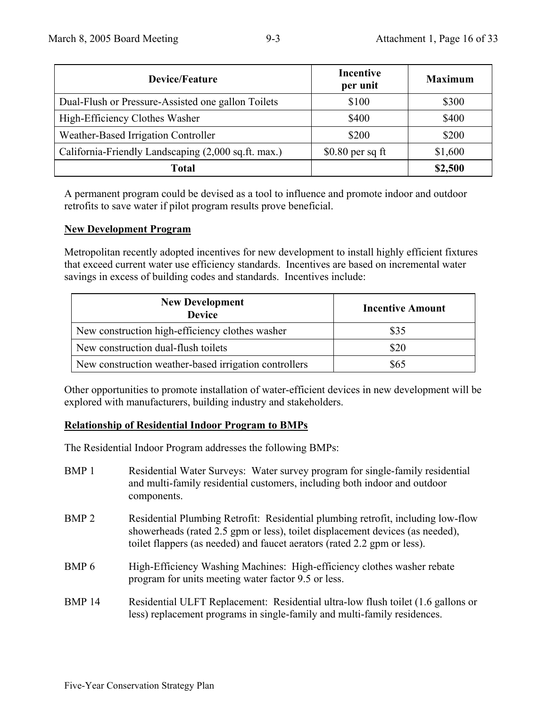| <b>Device/Feature</b>                               | <b>Incentive</b><br>per unit | <b>Maximum</b> |
|-----------------------------------------------------|------------------------------|----------------|
| Dual-Flush or Pressure-Assisted one gallon Toilets  | \$100                        | \$300          |
| High-Efficiency Clothes Washer                      | \$400                        | \$400          |
| Weather-Based Irrigation Controller                 | \$200                        | \$200          |
| California-Friendly Landscaping (2,000 sq.ft. max.) | $$0.80$ per sq ft            | \$1,600        |
| <b>Total</b>                                        |                              | \$2,500        |

A permanent program could be devised as a tool to influence and promote indoor and outdoor retrofits to save water if pilot program results prove beneficial.

# **New Development Program**

Metropolitan recently adopted incentives for new development to install highly efficient fixtures that exceed current water use efficiency standards. Incentives are based on incremental water savings in excess of building codes and standards. Incentives include:

| <b>New Development</b><br><b>Device</b>               | <b>Incentive Amount</b> |
|-------------------------------------------------------|-------------------------|
| New construction high-efficiency clothes washer       | \$35                    |
| New construction dual-flush toilets                   | \$20                    |
| New construction weather-based irrigation controllers | \$65                    |

Other opportunities to promote installation of water-efficient devices in new development will be explored with manufacturers, building industry and stakeholders.

# **Relationship of Residential Indoor Program to BMPs**

The Residential Indoor Program addresses the following BMPs:

| BMP <sub>1</sub> | Residential Water Surveys: Water survey program for single-family residential<br>and multi-family residential customers, including both indoor and outdoor<br>components.                                                                     |
|------------------|-----------------------------------------------------------------------------------------------------------------------------------------------------------------------------------------------------------------------------------------------|
| BMP <sub>2</sub> | Residential Plumbing Retrofit: Residential plumbing retrofit, including low-flow<br>showerheads (rated 2.5 gpm or less), toilet displacement devices (as needed),<br>toilet flappers (as needed) and faucet aerators (rated 2.2 gpm or less). |
| BMP 6            | High-Efficiency Washing Machines: High-efficiency clothes washer rebate<br>program for units meeting water factor 9.5 or less.                                                                                                                |
| <b>BMP 14</b>    | Residential ULFT Replacement: Residential ultra-low flush toilet (1.6 gallons or<br>less) replacement programs in single-family and multi-family residences.                                                                                  |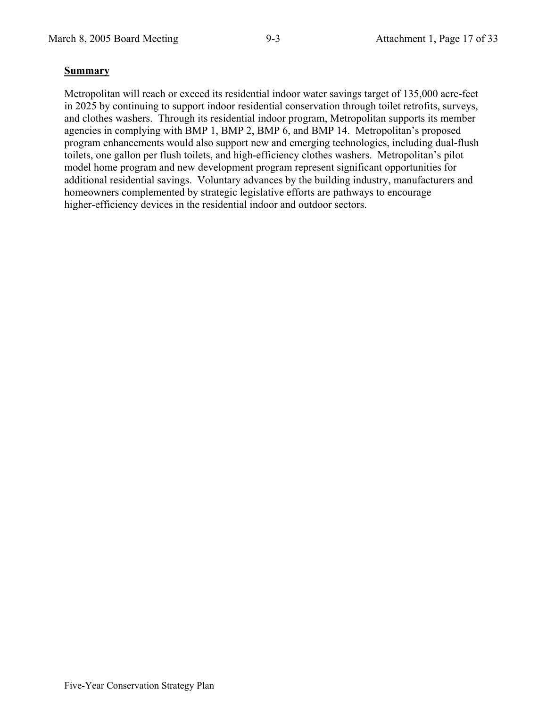# **Summary**

Metropolitan will reach or exceed its residential indoor water savings target of 135,000 acre-feet in 2025 by continuing to support indoor residential conservation through toilet retrofits, surveys, and clothes washers. Through its residential indoor program, Metropolitan supports its member agencies in complying with BMP 1, BMP 2, BMP 6, and BMP 14. Metropolitan's proposed program enhancements would also support new and emerging technologies, including dual-flush toilets, one gallon per flush toilets, and high-efficiency clothes washers. Metropolitan's pilot model home program and new development program represent significant opportunities for additional residential savings. Voluntary advances by the building industry, manufacturers and homeowners complemented by strategic legislative efforts are pathways to encourage higher-efficiency devices in the residential indoor and outdoor sectors.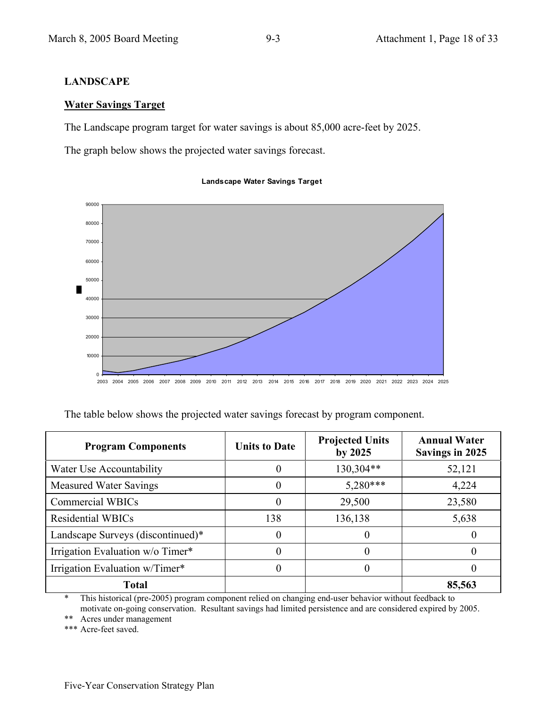**Water Savings Target**

**LANDSCAPE** 

80000

90000

# **Landscape Water Savings Target**

The Landscape program target for water savings is about 85,000 acre-feet by 2025.

The graph below shows the projected water savings forecast.

70000 60000 50000 п 40000 30000 20000 10000  $\mathfrak{g}$ 

2003 2004 2005 2006 2007 2008 2009 2010 2011 2012 2013 2014 2015 2016 2017 2018 2019 2020 2021 2022 2023 2024 2025

The table below shows the projected water savings forecast by program component.

| <b>Program Components</b>         | <b>Units to Date</b> | <b>Projected Units</b><br>by $2025$ | <b>Annual Water</b><br>Savings in 2025 |
|-----------------------------------|----------------------|-------------------------------------|----------------------------------------|
| Water Use Accountability          | 0                    | 130,304**                           | 52,121                                 |
| <b>Measured Water Savings</b>     | 0                    | $5,280***$                          | 4,224                                  |
| <b>Commercial WBICs</b>           | 0                    | 29,500                              | 23,580                                 |
| <b>Residential WBICs</b>          | 138                  | 136,138                             | 5,638                                  |
| Landscape Surveys (discontinued)* | $\theta$             | $\theta$                            |                                        |
| Irrigation Evaluation w/o Timer*  | 0                    |                                     | $\mathbf{0}$                           |
| Irrigation Evaluation w/Timer*    | $\theta$             |                                     | O                                      |
| <b>Total</b>                      |                      |                                     | 85,563                                 |

\* This historical (pre-2005) program component relied on changing end-user behavior without feedback to motivate on-going conservation. Resultant savings had limited persistence and are considered expired by 2005.

\*\* Acres under management

\*\*\* Acre-feet saved.

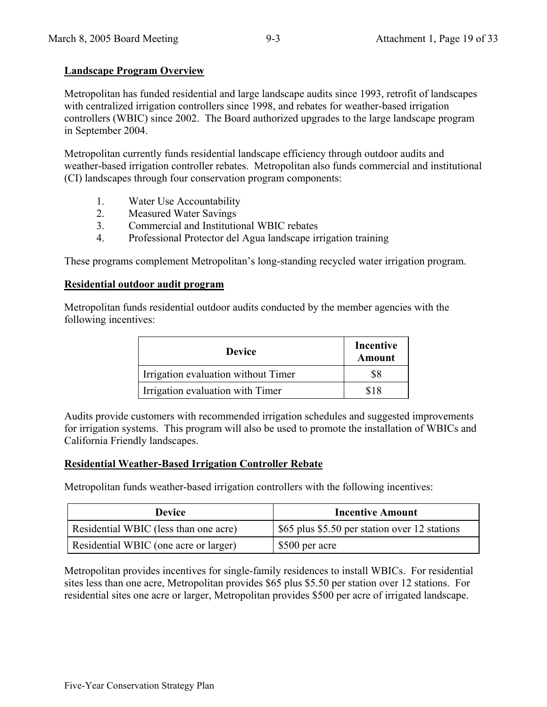# **Landscape Program Overview**

Metropolitan has funded residential and large landscape audits since 1993, retrofit of landscapes with centralized irrigation controllers since 1998, and rebates for weather-based irrigation controllers (WBIC) since 2002. The Board authorized upgrades to the large landscape program in September 2004.

Metropolitan currently funds residential landscape efficiency through outdoor audits and weather-based irrigation controller rebates. Metropolitan also funds commercial and institutional (CI) landscapes through four conservation program components:

- 1. Water Use Accountability
- 2. Measured Water Savings
- 3. Commercial and Institutional WBIC rebates
- 4. Professional Protector del Agua landscape irrigation training

These programs complement Metropolitan's long-standing recycled water irrigation program.

#### **Residential outdoor audit program**

Metropolitan funds residential outdoor audits conducted by the member agencies with the following incentives:

| <b>Device</b>                       | Incentive<br>Amount |
|-------------------------------------|---------------------|
| Irrigation evaluation without Timer |                     |
| Irrigation evaluation with Timer    | 818                 |

Audits provide customers with recommended irrigation schedules and suggested improvements for irrigation systems. This program will also be used to promote the installation of WBICs and California Friendly landscapes.

#### **Residential Weather-Based Irrigation Controller Rebate**

Metropolitan funds weather-based irrigation controllers with the following incentives:

| <b>Device</b>                         | <b>Incentive Amount</b>                       |  |
|---------------------------------------|-----------------------------------------------|--|
| Residential WBIC (less than one acre) | \$65 plus \$5.50 per station over 12 stations |  |
| Residential WBIC (one acre or larger) | \$500 per acre                                |  |

Metropolitan provides incentives for single-family residences to install WBICs. For residential sites less than one acre, Metropolitan provides \$65 plus \$5.50 per station over 12 stations. For residential sites one acre or larger, Metropolitan provides \$500 per acre of irrigated landscape.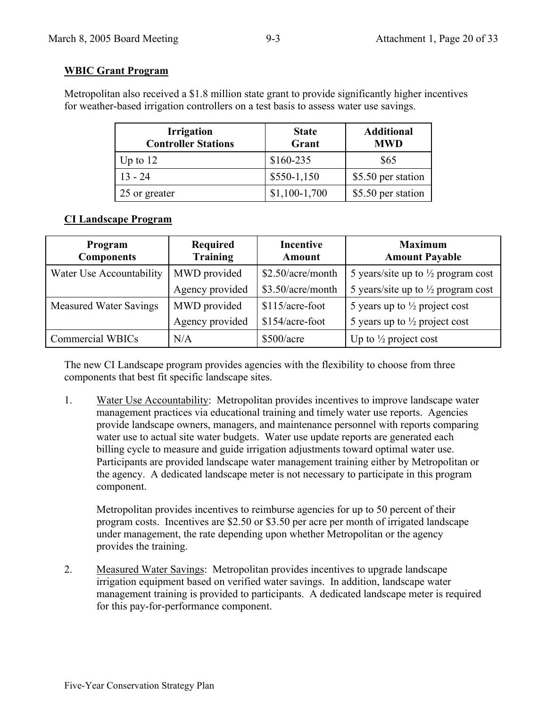# **WBIC Grant Program**

Metropolitan also received a \$1.8 million state grant to provide significantly higher incentives for weather-based irrigation controllers on a test basis to assess water use savings.

| <b>Irrigation</b><br><b>Controller Stations</b> | <b>State</b><br>Grant | <b>Additional</b><br><b>MWD</b> |
|-------------------------------------------------|-----------------------|---------------------------------|
| Up to $12$                                      | $$160-235$            | \$65                            |
| $13 - 24$                                       | $$550-1,150$          | \$5.50 per station              |
| 25 or greater                                   | $$1,100-1,700$        | \$5.50 per station              |

# **CI Landscape Program**

| Program<br><b>Components</b>  | Required<br><b>Training</b> | <b>Incentive</b><br><b>Amount</b> | <b>Maximum</b><br><b>Amount Payable</b>       |
|-------------------------------|-----------------------------|-----------------------------------|-----------------------------------------------|
| Water Use Accountability      | MWD provided                | \$2.50/acre/month                 | 5 years/site up to $\frac{1}{2}$ program cost |
|                               | Agency provided             | \$3.50/acre/month                 | 5 years/site up to $\frac{1}{2}$ program cost |
| <b>Measured Water Savings</b> | MWD provided                | \$115/acre-foot                   | 5 years up to $\frac{1}{2}$ project cost      |
|                               | Agency provided             | \$154/acre-foot                   | 5 years up to $\frac{1}{2}$ project cost      |
| Commercial WBICs              | N/A                         | \$500/acre                        | Up to $\frac{1}{2}$ project cost              |

The new CI Landscape program provides agencies with the flexibility to choose from three components that best fit specific landscape sites.

1. Water Use Accountability: Metropolitan provides incentives to improve landscape water management practices via educational training and timely water use reports. Agencies provide landscape owners, managers, and maintenance personnel with reports comparing water use to actual site water budgets. Water use update reports are generated each billing cycle to measure and guide irrigation adjustments toward optimal water use. Participants are provided landscape water management training either by Metropolitan or the agency. A dedicated landscape meter is not necessary to participate in this program component.

Metropolitan provides incentives to reimburse agencies for up to 50 percent of their program costs. Incentives are \$2.50 or \$3.50 per acre per month of irrigated landscape under management, the rate depending upon whether Metropolitan or the agency provides the training.

2. Measured Water Savings: Metropolitan provides incentives to upgrade landscape irrigation equipment based on verified water savings. In addition, landscape water management training is provided to participants. A dedicated landscape meter is required for this pay-for-performance component.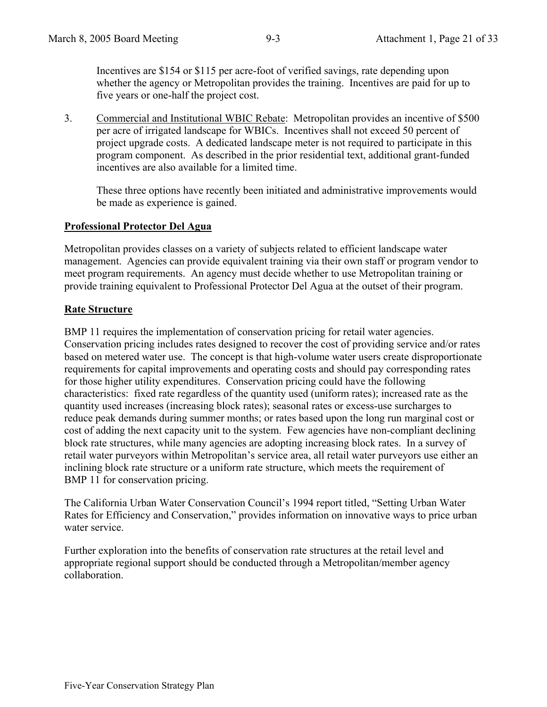Incentives are \$154 or \$115 per acre-foot of verified savings, rate depending upon whether the agency or Metropolitan provides the training. Incentives are paid for up to five years or one-half the project cost.

3. Commercial and Institutional WBIC Rebate: Metropolitan provides an incentive of \$500 per acre of irrigated landscape for WBICs. Incentives shall not exceed 50 percent of project upgrade costs. A dedicated landscape meter is not required to participate in this program component. As described in the prior residential text, additional grant-funded incentives are also available for a limited time.

These three options have recently been initiated and administrative improvements would be made as experience is gained.

#### **Professional Protector Del Agua**

Metropolitan provides classes on a variety of subjects related to efficient landscape water management. Agencies can provide equivalent training via their own staff or program vendor to meet program requirements. An agency must decide whether to use Metropolitan training or provide training equivalent to Professional Protector Del Agua at the outset of their program.

# **Rate Structure**

BMP 11 requires the implementation of conservation pricing for retail water agencies. Conservation pricing includes rates designed to recover the cost of providing service and/or rates based on metered water use. The concept is that high-volume water users create disproportionate requirements for capital improvements and operating costs and should pay corresponding rates for those higher utility expenditures. Conservation pricing could have the following characteristics: fixed rate regardless of the quantity used (uniform rates); increased rate as the quantity used increases (increasing block rates); seasonal rates or excess-use surcharges to reduce peak demands during summer months; or rates based upon the long run marginal cost or cost of adding the next capacity unit to the system. Few agencies have non-compliant declining block rate structures, while many agencies are adopting increasing block rates. In a survey of retail water purveyors within Metropolitan's service area, all retail water purveyors use either an inclining block rate structure or a uniform rate structure, which meets the requirement of BMP 11 for conservation pricing.

The California Urban Water Conservation Council's 1994 report titled, "Setting Urban Water Rates for Efficiency and Conservation," provides information on innovative ways to price urban water service.

Further exploration into the benefits of conservation rate structures at the retail level and appropriate regional support should be conducted through a Metropolitan/member agency collaboration.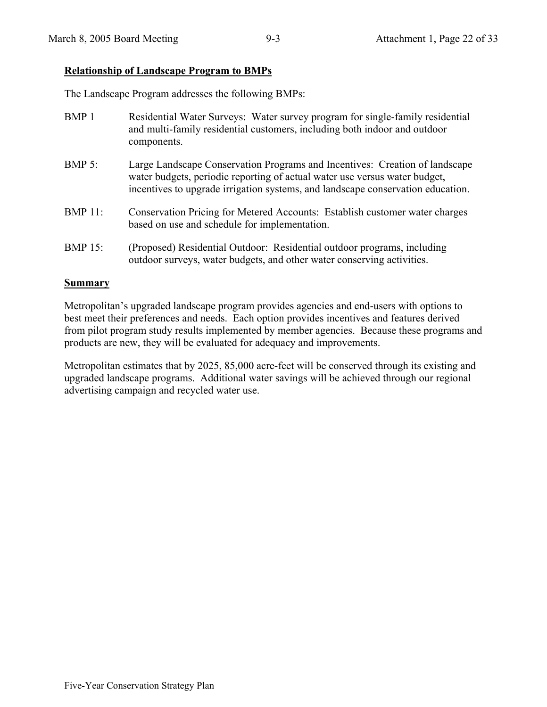# **Relationship of Landscape Program to BMPs**

The Landscape Program addresses the following BMPs:

| BMP <sub>1</sub> | Residential Water Surveys: Water survey program for single-family residential<br>and multi-family residential customers, including both indoor and outdoor<br>components.                                                                    |
|------------------|----------------------------------------------------------------------------------------------------------------------------------------------------------------------------------------------------------------------------------------------|
| $BMP 5$ :        | Large Landscape Conservation Programs and Incentives: Creation of landscape<br>water budgets, periodic reporting of actual water use versus water budget,<br>incentives to upgrade irrigation systems, and landscape conservation education. |
| <b>BMP 11:</b>   | Conservation Pricing for Metered Accounts: Establish customer water charges<br>based on use and schedule for implementation.                                                                                                                 |
| <b>BMP</b> 15:   | (Proposed) Residential Outdoor: Residential outdoor programs, including<br>outdoor surveys, water budgets, and other water conserving activities.                                                                                            |

#### **Summary**

Metropolitan's upgraded landscape program provides agencies and end-users with options to best meet their preferences and needs. Each option provides incentives and features derived from pilot program study results implemented by member agencies. Because these programs and products are new, they will be evaluated for adequacy and improvements.

Metropolitan estimates that by 2025, 85,000 acre-feet will be conserved through its existing and upgraded landscape programs. Additional water savings will be achieved through our regional advertising campaign and recycled water use.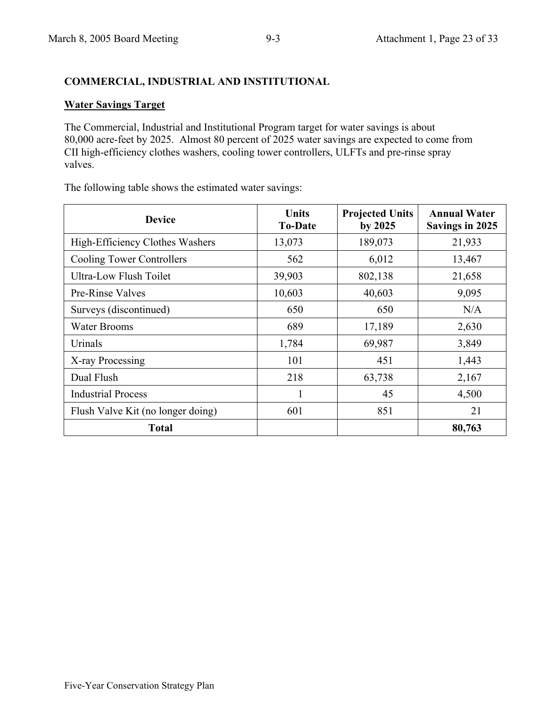# **COMMERCIAL, INDUSTRIAL AND INSTITUTIONAL**

# **Water Savings Target**

The Commercial, Industrial and Institutional Program target for water savings is about 80,000 acre-feet by 2025. Almost 80 percent of 2025 water savings are expected to come from CII high-efficiency clothes washers, cooling tower controllers, ULFTs and pre-rinse spray valves.

The following table shows the estimated water savings:

| <b>Device</b>                     | Units<br><b>To-Date</b> | <b>Projected Units</b><br>by 2025 | <b>Annual Water</b><br><b>Savings in 2025</b> |
|-----------------------------------|-------------------------|-----------------------------------|-----------------------------------------------|
| High-Efficiency Clothes Washers   | 13,073                  | 189,073                           | 21,933                                        |
| <b>Cooling Tower Controllers</b>  | 562                     | 6,012                             | 13,467                                        |
| Ultra-Low Flush Toilet            | 39,903                  | 802,138                           | 21,658                                        |
| <b>Pre-Rinse Valves</b>           | 10,603                  | 40,603                            | 9,095                                         |
| Surveys (discontinued)            | 650                     | 650                               | N/A                                           |
| <b>Water Brooms</b>               | 689                     | 17,189                            | 2,630                                         |
| Urinals                           | 1,784                   | 69,987                            | 3,849                                         |
| X-ray Processing                  | 101                     | 451                               | 1,443                                         |
| Dual Flush                        | 218                     | 63,738                            | 2,167                                         |
| <b>Industrial Process</b>         |                         | 45                                | 4,500                                         |
| Flush Valve Kit (no longer doing) | 601                     | 851                               | 21                                            |
| <b>Total</b>                      |                         |                                   | 80,763                                        |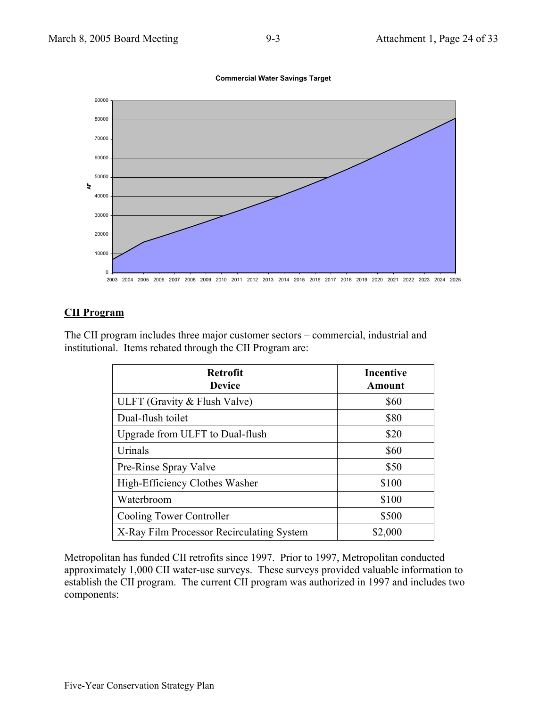

**Commercial Water Savings Target**

# **CII Program**

The CII program includes three major customer sectors – commercial, industrial and institutional. Items rebated through the CII Program are:

| <b>Retrofit</b><br><b>Device</b>          | <b>Incentive</b><br>Amount |
|-------------------------------------------|----------------------------|
| ULFT (Gravity & Flush Valve)              | \$60                       |
| Dual-flush toilet                         | \$80                       |
| Upgrade from ULFT to Dual-flush           | \$20                       |
| Urinals                                   | \$60                       |
| Pre-Rinse Spray Valve                     | \$50                       |
| High-Efficiency Clothes Washer            | \$100                      |
| Waterbroom                                | \$100                      |
| Cooling Tower Controller                  | \$500                      |
| X-Ray Film Processor Recirculating System | \$2,000                    |

Metropolitan has funded CII retrofits since 1997. Prior to 1997, Metropolitan conducted approximately 1,000 CII water-use surveys. These surveys provided valuable information to establish the CII program. The current CII program was authorized in 1997 and includes two components: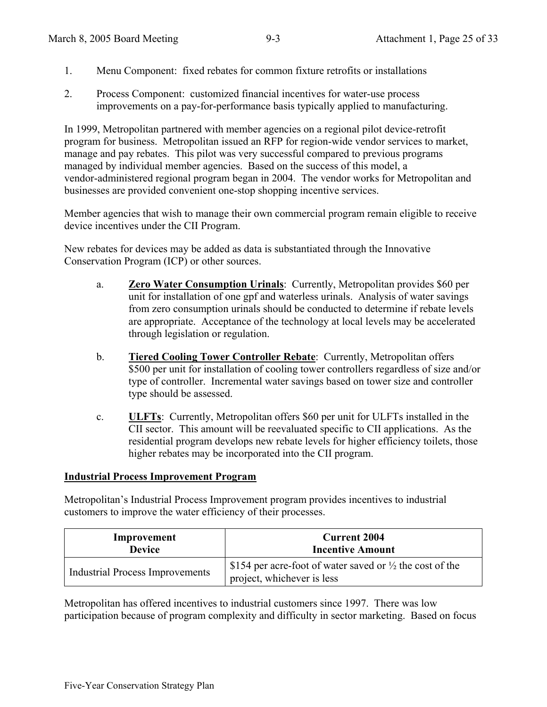- 1. Menu Component: fixed rebates for common fixture retrofits or installations
- 2. Process Component: customized financial incentives for water-use process improvements on a pay-for-performance basis typically applied to manufacturing.

In 1999, Metropolitan partnered with member agencies on a regional pilot device-retrofit program for business. Metropolitan issued an RFP for region-wide vendor services to market, manage and pay rebates. This pilot was very successful compared to previous programs managed by individual member agencies. Based on the success of this model, a vendor-administered regional program began in 2004. The vendor works for Metropolitan and businesses are provided convenient one-stop shopping incentive services.

Member agencies that wish to manage their own commercial program remain eligible to receive device incentives under the CII Program.

New rebates for devices may be added as data is substantiated through the Innovative Conservation Program (ICP) or other sources.

- a. **Zero Water Consumption Urinals**: Currently, Metropolitan provides \$60 per unit for installation of one gpf and waterless urinals. Analysis of water savings from zero consumption urinals should be conducted to determine if rebate levels are appropriate. Acceptance of the technology at local levels may be accelerated through legislation or regulation.
- b. **Tiered Cooling Tower Controller Rebate**: Currently, Metropolitan offers \$500 per unit for installation of cooling tower controllers regardless of size and/or type of controller. Incremental water savings based on tower size and controller type should be assessed.
- c. **ULFTs**: Currently, Metropolitan offers \$60 per unit for ULFTs installed in the CII sector. This amount will be reevaluated specific to CII applications. As the residential program develops new rebate levels for higher efficiency toilets, those higher rebates may be incorporated into the CII program.

#### **Industrial Process Improvement Program**

Metropolitan's Industrial Process Improvement program provides incentives to industrial customers to improve the water efficiency of their processes.

| Improvement                            | <b>Current 2004</b>                                                                               |
|----------------------------------------|---------------------------------------------------------------------------------------------------|
| <b>Device</b>                          | <b>Incentive Amount</b>                                                                           |
| <b>Industrial Process Improvements</b> | \$154 per acre-foot of water saved or $\frac{1}{2}$ the cost of the<br>project, whichever is less |

Metropolitan has offered incentives to industrial customers since 1997. There was low participation because of program complexity and difficulty in sector marketing. Based on focus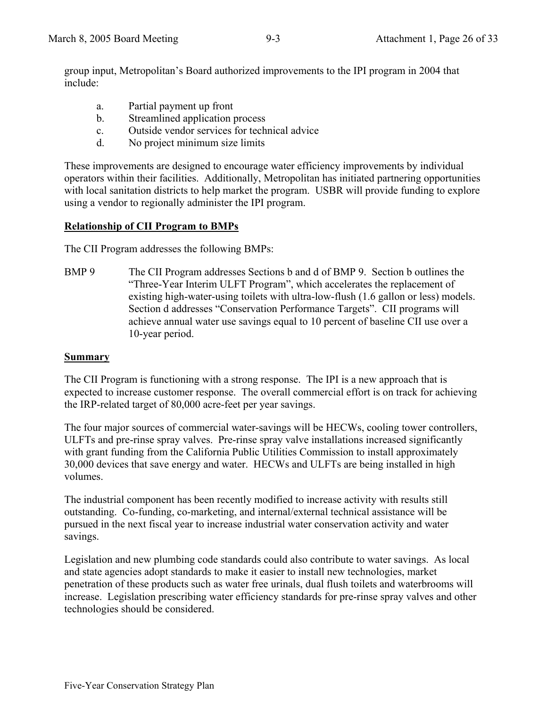group input, Metropolitan's Board authorized improvements to the IPI program in 2004 that include:

- a. Partial payment up front
- b. Streamlined application process
- c. Outside vendor services for technical advice
- d. No project minimum size limits

These improvements are designed to encourage water efficiency improvements by individual operators within their facilities. Additionally, Metropolitan has initiated partnering opportunities with local sanitation districts to help market the program. USBR will provide funding to explore using a vendor to regionally administer the IPI program.

# **Relationship of CII Program to BMPs**

The CII Program addresses the following BMPs:

BMP 9 The CII Program addresses Sections b and d of BMP 9. Section b outlines the "Three-Year Interim ULFT Program", which accelerates the replacement of existing high-water-using toilets with ultra-low-flush (1.6 gallon or less) models. Section d addresses "Conservation Performance Targets". CII programs will achieve annual water use savings equal to 10 percent of baseline CII use over a 10-year period.

# **Summary**

The CII Program is functioning with a strong response. The IPI is a new approach that is expected to increase customer response. The overall commercial effort is on track for achieving the IRP-related target of 80,000 acre-feet per year savings.

The four major sources of commercial water-savings will be HECWs, cooling tower controllers, ULFTs and pre-rinse spray valves. Pre-rinse spray valve installations increased significantly with grant funding from the California Public Utilities Commission to install approximately 30,000 devices that save energy and water. HECWs and ULFTs are being installed in high volumes.

The industrial component has been recently modified to increase activity with results still outstanding. Co-funding, co-marketing, and internal/external technical assistance will be pursued in the next fiscal year to increase industrial water conservation activity and water savings.

Legislation and new plumbing code standards could also contribute to water savings. As local and state agencies adopt standards to make it easier to install new technologies, market penetration of these products such as water free urinals, dual flush toilets and waterbrooms will increase. Legislation prescribing water efficiency standards for pre-rinse spray valves and other technologies should be considered.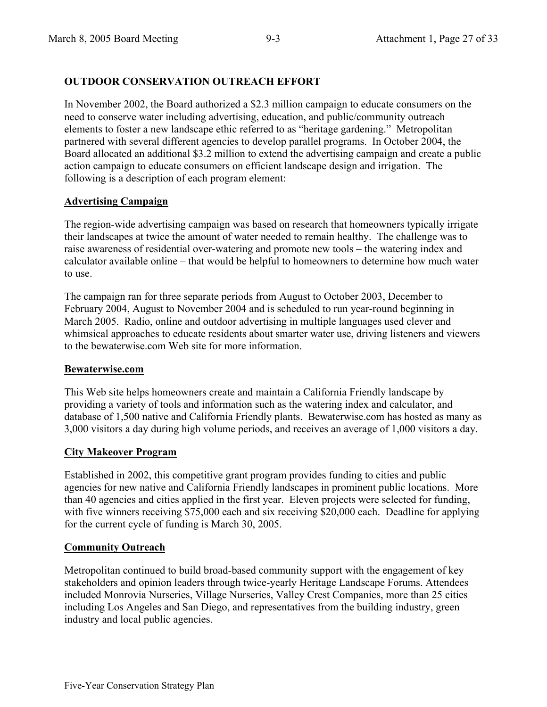# **OUTDOOR CONSERVATION OUTREACH EFFORT**

In November 2002, the Board authorized a \$2.3 million campaign to educate consumers on the need to conserve water including advertising, education, and public/community outreach elements to foster a new landscape ethic referred to as "heritage gardening." Metropolitan partnered with several different agencies to develop parallel programs. In October 2004, the Board allocated an additional \$3.2 million to extend the advertising campaign and create a public action campaign to educate consumers on efficient landscape design and irrigation. The following is a description of each program element:

# **Advertising Campaign**

The region-wide advertising campaign was based on research that homeowners typically irrigate their landscapes at twice the amount of water needed to remain healthy. The challenge was to raise awareness of residential over-watering and promote new tools – the watering index and calculator available online – that would be helpful to homeowners to determine how much water to use.

The campaign ran for three separate periods from August to October 2003, December to February 2004, August to November 2004 and is scheduled to run year-round beginning in March 2005. Radio, online and outdoor advertising in multiple languages used clever and whimsical approaches to educate residents about smarter water use, driving listeners and viewers to the bewaterwise.com Web site for more information.

# **Bewaterwise.com**

This Web site helps homeowners create and maintain a California Friendly landscape by providing a variety of tools and information such as the watering index and calculator, and database of 1,500 native and California Friendly plants. Bewaterwise.com has hosted as many as 3,000 visitors a day during high volume periods, and receives an average of 1,000 visitors a day.

# **City Makeover Program**

Established in 2002, this competitive grant program provides funding to cities and public agencies for new native and California Friendly landscapes in prominent public locations. More than 40 agencies and cities applied in the first year. Eleven projects were selected for funding, with five winners receiving \$75,000 each and six receiving \$20,000 each. Deadline for applying for the current cycle of funding is March 30, 2005.

# **Community Outreach**

Metropolitan continued to build broad-based community support with the engagement of key stakeholders and opinion leaders through twice-yearly Heritage Landscape Forums. Attendees included Monrovia Nurseries, Village Nurseries, Valley Crest Companies, more than 25 cities including Los Angeles and San Diego, and representatives from the building industry, green industry and local public agencies.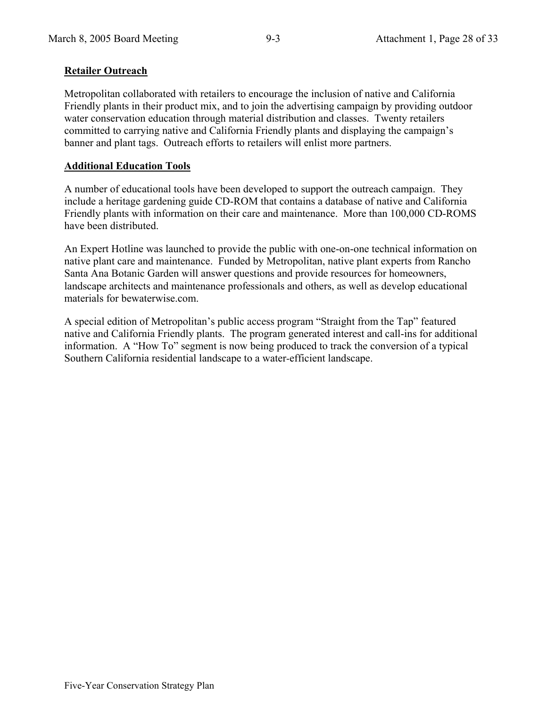# **Retailer Outreach**

Metropolitan collaborated with retailers to encourage the inclusion of native and California Friendly plants in their product mix, and to join the advertising campaign by providing outdoor water conservation education through material distribution and classes. Twenty retailers committed to carrying native and California Friendly plants and displaying the campaign's banner and plant tags. Outreach efforts to retailers will enlist more partners.

# **Additional Education Tools**

A number of educational tools have been developed to support the outreach campaign. They include a heritage gardening guide CD-ROM that contains a database of native and California Friendly plants with information on their care and maintenance. More than 100,000 CD-ROMS have been distributed.

An Expert Hotline was launched to provide the public with one-on-one technical information on native plant care and maintenance. Funded by Metropolitan, native plant experts from Rancho Santa Ana Botanic Garden will answer questions and provide resources for homeowners, landscape architects and maintenance professionals and others, as well as develop educational materials for bewaterwise.com.

A special edition of Metropolitan's public access program "Straight from the Tap" featured native and California Friendly plants. The program generated interest and call-ins for additional information. A "How To" segment is now being produced to track the conversion of a typical Southern California residential landscape to a water-efficient landscape.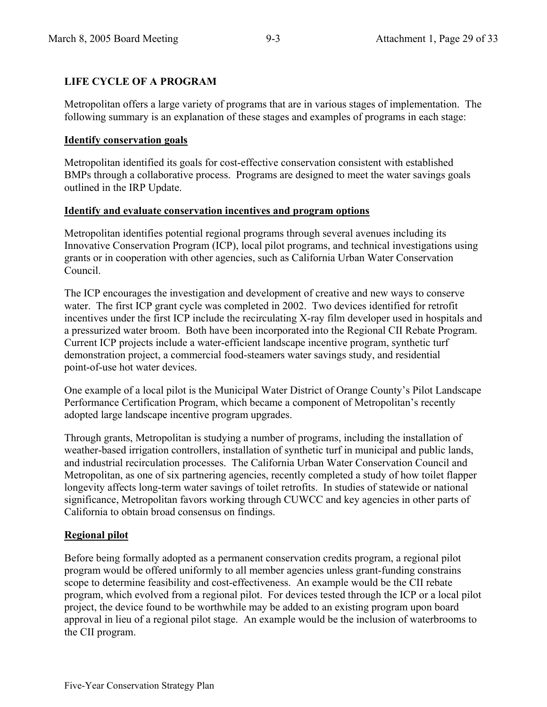# **LIFE CYCLE OF A PROGRAM**

Metropolitan offers a large variety of programs that are in various stages of implementation. The following summary is an explanation of these stages and examples of programs in each stage:

#### **Identify conservation goals**

Metropolitan identified its goals for cost-effective conservation consistent with established BMPs through a collaborative process. Programs are designed to meet the water savings goals outlined in the IRP Update.

#### **Identify and evaluate conservation incentives and program options**

Metropolitan identifies potential regional programs through several avenues including its Innovative Conservation Program (ICP), local pilot programs, and technical investigations using grants or in cooperation with other agencies, such as California Urban Water Conservation Council.

The ICP encourages the investigation and development of creative and new ways to conserve water. The first ICP grant cycle was completed in 2002. Two devices identified for retrofit incentives under the first ICP include the recirculating X-ray film developer used in hospitals and a pressurized water broom. Both have been incorporated into the Regional CII Rebate Program. Current ICP projects include a water-efficient landscape incentive program, synthetic turf demonstration project, a commercial food-steamers water savings study, and residential point-of-use hot water devices.

One example of a local pilot is the Municipal Water District of Orange County's Pilot Landscape Performance Certification Program, which became a component of Metropolitan's recently adopted large landscape incentive program upgrades.

Through grants, Metropolitan is studying a number of programs, including the installation of weather-based irrigation controllers, installation of synthetic turf in municipal and public lands, and industrial recirculation processes. The California Urban Water Conservation Council and Metropolitan, as one of six partnering agencies, recently completed a study of how toilet flapper longevity affects long-term water savings of toilet retrofits. In studies of statewide or national significance, Metropolitan favors working through CUWCC and key agencies in other parts of California to obtain broad consensus on findings.

# **Regional pilot**

Before being formally adopted as a permanent conservation credits program, a regional pilot program would be offered uniformly to all member agencies unless grant-funding constrains scope to determine feasibility and cost-effectiveness. An example would be the CII rebate program, which evolved from a regional pilot. For devices tested through the ICP or a local pilot project, the device found to be worthwhile may be added to an existing program upon board approval in lieu of a regional pilot stage. An example would be the inclusion of waterbrooms to the CII program.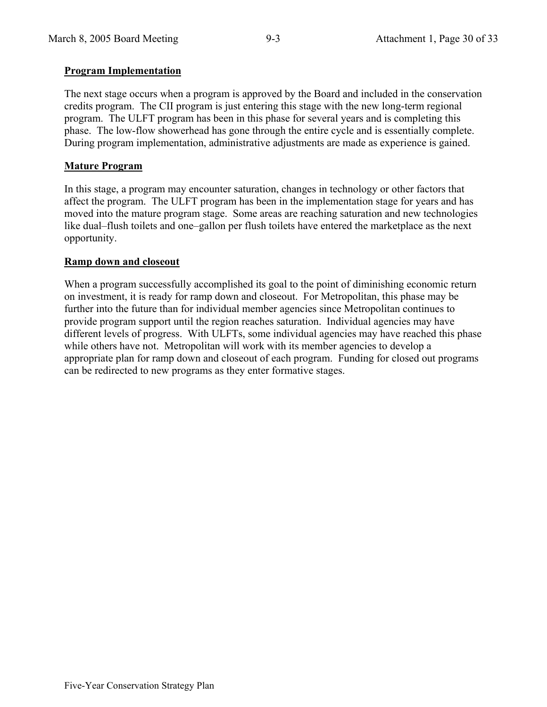# **Program Implementation**

The next stage occurs when a program is approved by the Board and included in the conservation credits program. The CII program is just entering this stage with the new long-term regional program. The ULFT program has been in this phase for several years and is completing this phase. The low-flow showerhead has gone through the entire cycle and is essentially complete. During program implementation, administrative adjustments are made as experience is gained.

# **Mature Program**

In this stage, a program may encounter saturation, changes in technology or other factors that affect the program. The ULFT program has been in the implementation stage for years and has moved into the mature program stage. Some areas are reaching saturation and new technologies like dual–flush toilets and one–gallon per flush toilets have entered the marketplace as the next opportunity.

# **Ramp down and closeout**

When a program successfully accomplished its goal to the point of diminishing economic return on investment, it is ready for ramp down and closeout. For Metropolitan, this phase may be further into the future than for individual member agencies since Metropolitan continues to provide program support until the region reaches saturation. Individual agencies may have different levels of progress. With ULFTs, some individual agencies may have reached this phase while others have not. Metropolitan will work with its member agencies to develop a appropriate plan for ramp down and closeout of each program. Funding for closed out programs can be redirected to new programs as they enter formative stages.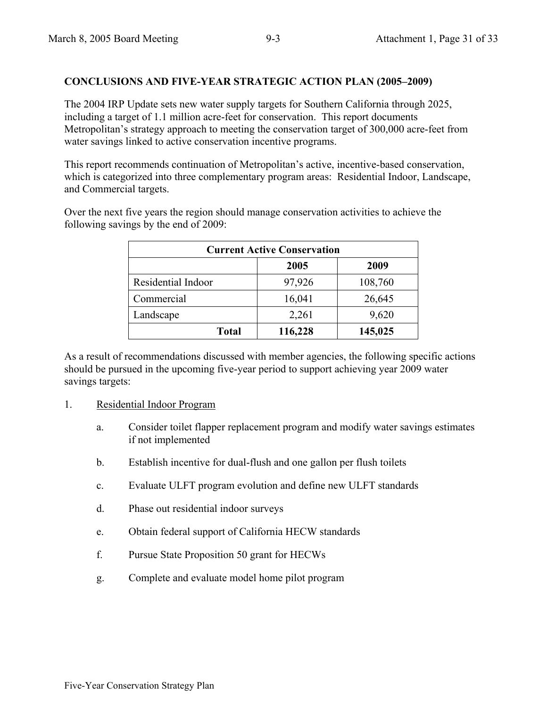# **CONCLUSIONS AND FIVE-YEAR STRATEGIC ACTION PLAN (2005–2009)**

The 2004 IRP Update sets new water supply targets for Southern California through 2025, including a target of 1.1 million acre-feet for conservation. This report documents Metropolitan's strategy approach to meeting the conservation target of 300,000 acre-feet from water savings linked to active conservation incentive programs.

This report recommends continuation of Metropolitan's active, incentive-based conservation, which is categorized into three complementary program areas: Residential Indoor, Landscape, and Commercial targets.

Over the next five years the region should manage conservation activities to achieve the following savings by the end of 2009:

| <b>Current Active Conservation</b> |         |         |  |  |
|------------------------------------|---------|---------|--|--|
| 2009<br>2005                       |         |         |  |  |
| Residential Indoor                 | 97,926  | 108,760 |  |  |
| Commercial                         | 16,041  | 26,645  |  |  |
| Landscape                          | 2,261   | 9,620   |  |  |
| <b>Total</b>                       | 116,228 | 145,025 |  |  |

As a result of recommendations discussed with member agencies, the following specific actions should be pursued in the upcoming five-year period to support achieving year 2009 water savings targets:

- 1. Residential Indoor Program
	- a. Consider toilet flapper replacement program and modify water savings estimates if not implemented
	- b. Establish incentive for dual-flush and one gallon per flush toilets
	- c. Evaluate ULFT program evolution and define new ULFT standards
	- d. Phase out residential indoor surveys
	- e. Obtain federal support of California HECW standards
	- f. Pursue State Proposition 50 grant for HECWs
	- g. Complete and evaluate model home pilot program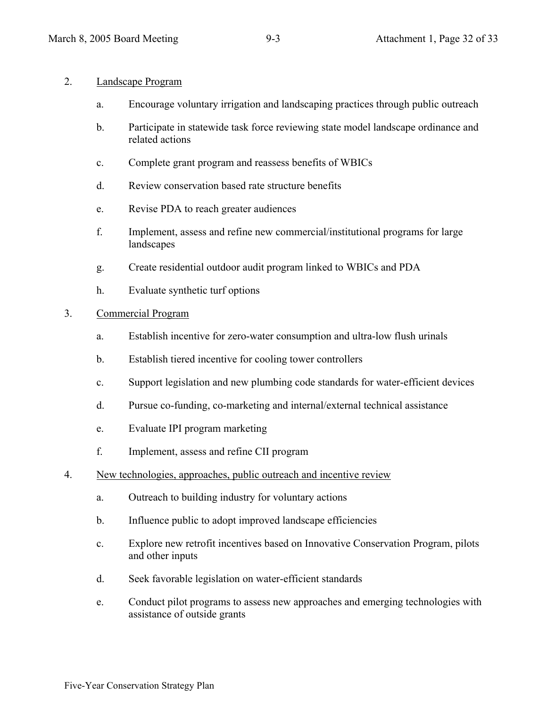#### 2. Landscape Program

- a. Encourage voluntary irrigation and landscaping practices through public outreach
- b. Participate in statewide task force reviewing state model landscape ordinance and related actions
- c. Complete grant program and reassess benefits of WBICs
- d. Review conservation based rate structure benefits
- e. Revise PDA to reach greater audiences
- f. Implement, assess and refine new commercial/institutional programs for large landscapes
- g. Create residential outdoor audit program linked to WBICs and PDA
- h. Evaluate synthetic turf options

#### 3. Commercial Program

- a. Establish incentive for zero-water consumption and ultra-low flush urinals
- b. Establish tiered incentive for cooling tower controllers
- c. Support legislation and new plumbing code standards for water-efficient devices
- d. Pursue co-funding, co-marketing and internal/external technical assistance
- e. Evaluate IPI program marketing
- f. Implement, assess and refine CII program
- 4. New technologies, approaches, public outreach and incentive review
	- a. Outreach to building industry for voluntary actions
	- b. Influence public to adopt improved landscape efficiencies
	- c. Explore new retrofit incentives based on Innovative Conservation Program, pilots and other inputs
	- d. Seek favorable legislation on water-efficient standards
	- e. Conduct pilot programs to assess new approaches and emerging technologies with assistance of outside grants